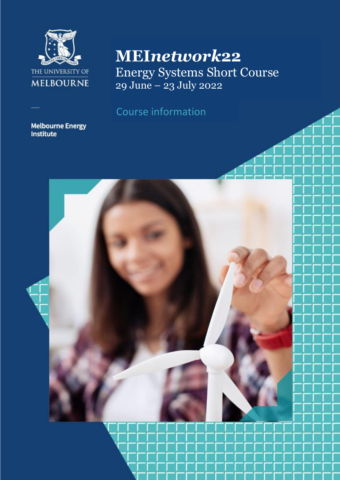

# **MEI***network***22**

Energy Systems Short Course 29 June – 23 July 2022

# Course information

# **Melbourne Energy**<br>Institute

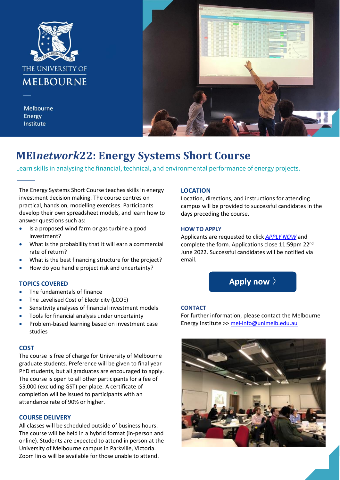

Melbourne Energy Institute



## **MEI***network***22: Energy Systems Short Course**

Learn skills in analysing the financial, technical, and environmental performance of energy projects.

The Energy Systems Short Course teaches skills in energy investment decision making. The course centres on practical, hands on, modelling exercises. Participants develop their own spreadsheet models, and learn how to answer questions such as:

- .<br>. • Is a proposed wind farm or gas turbine a good investment?
- What is the probability that it will earn a commercial rate of return?
- What is the best financing structure for the project?
- How do you handle project risk and uncertainty?

### **TOPICS COVERED**

- The fundamentals of finance
- The Levelised Cost of Electricity (LCOE)
- Sensitivity analyses of financial investment models
- Tools for financial analysis under uncertainty
- Problem-based learning based on investment case studies

#### **COST**

The course is free of charge for University of Melbourne graduate students. Preference will be given to final year PhD students, but all graduates are encouraged to apply. The course is open to all other participants for a fee of \$5,000 (excluding GST) per place. A certificate of completion will be issued to participants with an attendance rate of 90% or higher.

#### **COURSE DELIVERY**

All classes will be scheduled outside of business hours. The course will be held in a hybrid format (in-person and online). Students are expected to attend in person at the University of Melbourne campus in Parkville, Victoria. Zoom links will be available for those unable to attend.

### **LOCATION**

Location, directions, and instructions for attending campus will be provided to successful candidates in the days preceding the course.

#### **HOW TO APPLY**

Applicants are requested to click *[APPLY NOW](https://form.jotform.com/221380745788870)* and complete the form. Applications close 11:59pm 22nd June 2022. Successful candidates will be notified via email.

Apply now >

#### **CONTACT**

For further information, please contact the Melbourne Energy Institute >[> mei-info@unimelb.edu.au](mailto:mei-info@unimelb.edu.au)

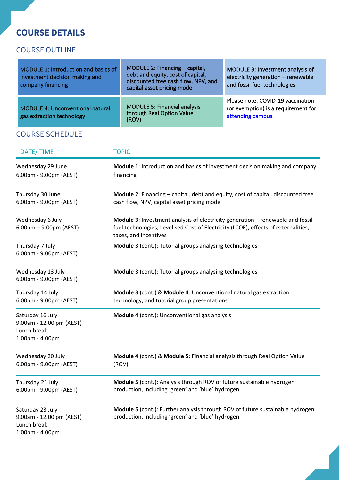## **COURSE DETAILS**

### COURSE OUTLINE

| MODULE 1: Introduction and basics of<br>investment decision making and<br>company financing | MODULE 2: Financing - capital,<br>debt and equity, cost of capital,<br>discounted free cash flow, NPV, and<br>capital asset pricing model | MODULE 3: Investment analysis of<br>electricity generation - renewable<br>and fossil fuel technologies |
|---------------------------------------------------------------------------------------------|-------------------------------------------------------------------------------------------------------------------------------------------|--------------------------------------------------------------------------------------------------------|
| <b>MODULE 4: Unconventional natural</b><br>gas extraction technology                        | <b>MODULE 5: Financial analysis</b><br>through Real Option Value<br>(ROV)                                                                 | Please note: COVID-19 vaccination<br>(or exemption) is a requirement for<br>attending campus.          |

### COURSE SCHEDULE

| DATE/TIME                                                                      | <b>TOPIC</b><br>Module 1: Introduction and basics of investment decision making and company<br>financing                                                                                      |  |
|--------------------------------------------------------------------------------|-----------------------------------------------------------------------------------------------------------------------------------------------------------------------------------------------|--|
| Wednesday 29 June<br>6.00pm - 9.00pm (AEST)                                    |                                                                                                                                                                                               |  |
| Thursday 30 June<br>6.00pm - 9.00pm (AEST)                                     | Module 2: Financing - capital, debt and equity, cost of capital, discounted free<br>cash flow, NPV, capital asset pricing model                                                               |  |
| Wednesday 6 July<br>$6.00 \text{pm} - 9.00 \text{pm}$ (AEST)                   | Module 3: Investment analysis of electricity generation - renewable and fossil<br>fuel technologies, Levelised Cost of Electricity (LCOE), effects of externalities,<br>taxes, and incentives |  |
| Thursday 7 July<br>6.00pm - 9.00pm (AEST)                                      | Module 3 (cont.): Tutorial groups analysing technologies                                                                                                                                      |  |
| Wednesday 13 July<br>6.00pm - 9.00pm (AEST)                                    | Module 3 (cont.): Tutorial groups analysing technologies                                                                                                                                      |  |
| Thursday 14 July<br>6.00pm - 9.00pm (AEST)                                     | Module 3 (cont.) & Module 4: Unconventional natural gas extraction<br>technology, and tutorial group presentations                                                                            |  |
| Saturday 16 July<br>9.00am - 12.00 pm (AEST)<br>Lunch break<br>1.00pm - 4.00pm | Module 4 (cont.): Unconventional gas analysis                                                                                                                                                 |  |
| Wednesday 20 July<br>6.00pm - 9.00pm (AEST)                                    | Module 4 (cont.) & Module 5: Financial analysis through Real Option Value<br>(ROV)                                                                                                            |  |
| Thursday 21 July<br>6.00pm - 9.00pm (AEST)                                     | Module 5 (cont.): Analysis through ROV of future sustainable hydrogen<br>production, including 'green' and 'blue' hydrogen                                                                    |  |
| Saturday 23 July<br>9.00am - 12.00 pm (AEST)<br>Lunch break<br>1.00pm - 4.00pm | Module 5 (cont.): Further analysis through ROV of future sustainable hydrogen<br>production, including 'green' and 'blue' hydrogen                                                            |  |